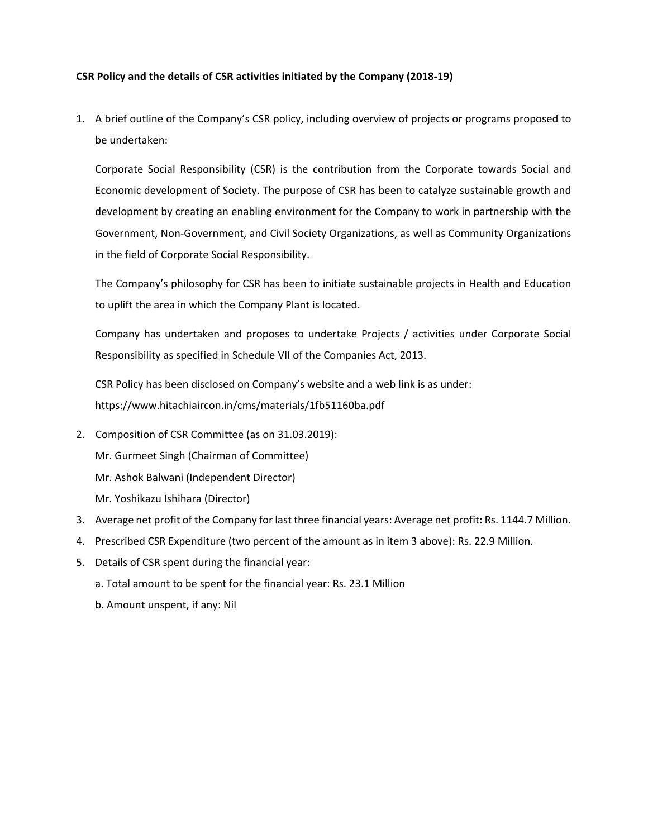## **CSR Policy and the details of CSR activities initiated by the Company (2018‐19)**

1. A brief outline of the Company's CSR policy, including overview of projects or programs proposed to be undertaken:

Corporate Social Responsibility (CSR) is the contribution from the Corporate towards Social and Economic development of Society. The purpose of CSR has been to catalyze sustainable growth and development by creating an enabling environment for the Company to work in partnership with the Government, Non‐Government, and Civil Society Organizations, as well as Community Organizations in the field of Corporate Social Responsibility.

The Company's philosophy for CSR has been to initiate sustainable projects in Health and Education to uplift the area in which the Company Plant is located.

Company has undertaken and proposes to undertake Projects / activities under Corporate Social Responsibility as specified in Schedule VII of the Companies Act, 2013.

CSR Policy has been disclosed on Company's website and a web link is as under: https://www.hitachiaircon.in/cms/materials/1fb51160ba.pdf

- 2. Composition of CSR Committee (as on 31.03.2019):
	- Mr. Gurmeet Singh (Chairman of Committee)
	- Mr. Ashok Balwani (Independent Director)
	- Mr. Yoshikazu Ishihara (Director)
- 3. Average net profit of the Company for last three financial years: Average net profit: Rs. 1144.7 Million.
- 4. Prescribed CSR Expenditure (two percent of the amount as in item 3 above): Rs. 22.9 Million.
- 5. Details of CSR spent during the financial year:
	- a. Total amount to be spent for the financial year: Rs. 23.1 Million
	- b. Amount unspent, if any: Nil